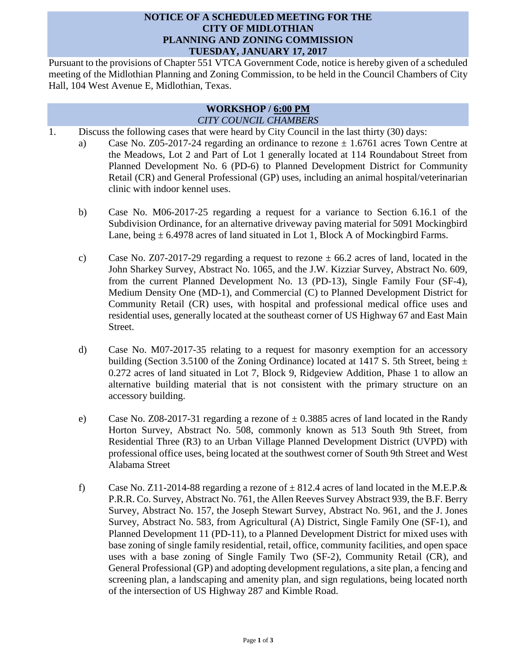## **NOTICE OF A SCHEDULED MEETING FOR THE CITY OF MIDLOTHIAN PLANNING AND ZONING COMMISSION TUESDAY, JANUARY 17, 2017**

Pursuant to the provisions of Chapter 551 VTCA Government Code, notice is hereby given of a scheduled meeting of the Midlothian Planning and Zoning Commission, to be held in the Council Chambers of City Hall, 104 West Avenue E, Midlothian, Texas.

## **WORKSHOP / 6:00 PM** *CITY COUNCIL CHAMBERS*

- 1. Discuss the following cases that were heard by City Council in the last thirty (30) days:
	- a) Case No. Z05-2017-24 regarding an ordinance to rezone  $\pm$  1.6761 acres Town Centre at the Meadows, Lot 2 and Part of Lot 1 generally located at 114 Roundabout Street from Planned Development No. 6 (PD-6) to Planned Development District for Community Retail (CR) and General Professional (GP) uses, including an animal hospital/veterinarian clinic with indoor kennel uses.
		- b) Case No. M06-2017-25 regarding a request for a variance to Section 6.16.1 of the Subdivision Ordinance, for an alternative driveway paving material for 5091 Mockingbird Lane, being  $\pm 6.4978$  acres of land situated in Lot 1, Block A of Mocking bird Farms.
		- c) Case No. Z07-2017-29 regarding a request to rezone  $\pm$  66.2 acres of land, located in the John Sharkey Survey, Abstract No. 1065, and the J.W. Kizziar Survey, Abstract No. 609, from the current Planned Development No. 13 (PD-13), Single Family Four (SF-4), Medium Density One (MD-1), and Commercial (C) to Planned Development District for Community Retail (CR) uses, with hospital and professional medical office uses and residential uses, generally located at the southeast corner of US Highway 67 and East Main Street.
		- d) Case No. M07-2017-35 relating to a request for masonry exemption for an accessory building (Section 3.5100 of the Zoning Ordinance) located at 1417 S. 5th Street, being  $\pm$ 0.272 acres of land situated in Lot 7, Block 9, Ridgeview Addition, Phase 1 to allow an alternative building material that is not consistent with the primary structure on an accessory building.
	- e) Case No. Z08-2017-31 regarding a rezone of  $\pm$  0.3885 acres of land located in the Randy Horton Survey, Abstract No. 508, commonly known as 513 South 9th Street, from Residential Three (R3) to an Urban Village Planned Development District (UVPD) with professional office uses, being located at the southwest corner of South 9th Street and West Alabama Street
	- f) Case No. Z11-2014-88 regarding a rezone of  $\pm$  812.4 acres of land located in the M.E.P. & P.R.R. Co. Survey, Abstract No. 761, the Allen Reeves Survey Abstract 939, the B.F. Berry Survey, Abstract No. 157, the Joseph Stewart Survey, Abstract No. 961, and the J. Jones Survey, Abstract No. 583, from Agricultural (A) District, Single Family One (SF-1), and Planned Development 11 (PD-11), to a Planned Development District for mixed uses with base zoning of single family residential, retail, office, community facilities, and open space uses with a base zoning of Single Family Two (SF-2), Community Retail (CR), and General Professional (GP) and adopting development regulations, a site plan, a fencing and screening plan, a landscaping and amenity plan, and sign regulations, being located north of the intersection of US Highway 287 and Kimble Road.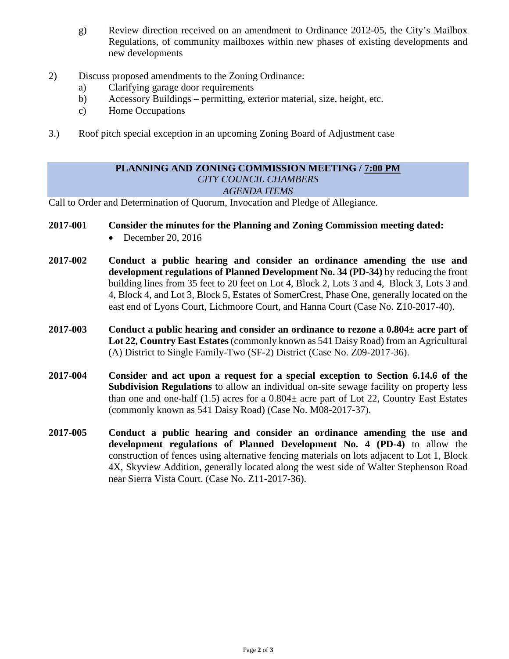- g) Review direction received on an amendment to Ordinance 2012-05, the City's Mailbox Regulations, of community mailboxes within new phases of existing developments and new developments
- 2) Discuss proposed amendments to the Zoning Ordinance:
	- a) Clarifying garage door requirements
	- b) Accessory Buildings permitting, exterior material, size, height, etc.
	- c) Home Occupations
- 3.) Roof pitch special exception in an upcoming Zoning Board of Adjustment case

## **PLANNING AND ZONING COMMISSION MEETING / 7:00 PM** *CITY COUNCIL CHAMBERS AGENDA ITEMS*

Call to Order and Determination of Quorum, Invocation and Pledge of Allegiance.

- **2017-001 Consider the minutes for the Planning and Zoning Commission meeting dated:** 
	- December 20, 2016
- **2017-002 Conduct a public hearing and consider an ordinance amending the use and development regulations of Planned Development No. 34 (PD-34)** by reducing the front building lines from 35 feet to 20 feet on Lot 4, Block 2, Lots 3 and 4, Block 3, Lots 3 and 4, Block 4, and Lot 3, Block 5, Estates of SomerCrest, Phase One, generally located on the east end of Lyons Court, Lichmoore Court, and Hanna Court (Case No. Z10-2017-40).
- **2017-003 Conduct a public hearing and consider an ordinance to rezone a 0.804± acre part of Lot 22, Country East Estates** (commonly known as 541 Daisy Road) from an Agricultural (A) District to Single Family-Two (SF-2) District (Case No. Z09-2017-36).
- **2017-004 Consider and act upon a request for a special exception to Section 6.14.6 of the Subdivision Regulations** to allow an individual on-site sewage facility on property less than one and one-half  $(1.5)$  acres for a  $0.804\pm$  acre part of Lot 22, Country East Estates (commonly known as 541 Daisy Road) (Case No. M08-2017-37).
- **2017-005 Conduct a public hearing and consider an ordinance amending the use and development regulations of Planned Development No. 4 (PD-4)** to allow the construction of fences using alternative fencing materials on lots adjacent to Lot 1, Block 4X, Skyview Addition, generally located along the west side of Walter Stephenson Road near Sierra Vista Court. (Case No. Z11-2017-36).